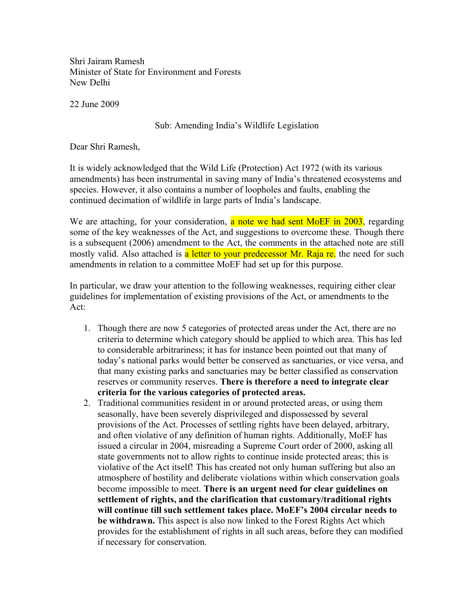Shri Jairam Ramesh Minister of State for Environment and Forests New Delhi

22 June 2009

## Sub: Amending India's Wildlife Legislation

Dear Shri Ramesh,

It is widely acknowledged that the Wild Life (Protection) Act 1972 (with its various amendments) has been instrumental in saving many of India's threatened ecosystems and species. However, it also contains a number of loopholes and faults, enabling the continued decimation of wildlife in large parts of India's landscape.

We are attaching, for your consideration, a note we had sent MoEF in 2003, regarding some of the key weaknesses of the Act, and suggestions to overcome these. Though there is a subsequent (2006) amendment to the Act, the comments in the attached note are still mostly valid. Also attached is a letter to your predecessor Mr. Raja re. the need for such amendments in relation to a committee MoEF had set up for this purpose.

In particular, we draw your attention to the following weaknesses, requiring either clear guidelines for implementation of existing provisions of the Act, or amendments to the Act:

- 1. Though there are now 5 categories of protected areas under the Act, there are no criteria to determine which category should be applied to which area. This has led to considerable arbitrariness; it has for instance been pointed out that many of today's national parks would better be conserved as sanctuaries, or vice versa, and that many existing parks and sanctuaries may be better classified as conservation reserves or community reserves. **There is therefore a need to integrate clear criteria for the various categories of protected areas.**
- 2. Traditional communities resident in or around protected areas, or using them seasonally, have been severely disprivileged and dispossessed by several provisions of the Act. Processes of settling rights have been delayed, arbitrary, and often violative of any definition of human rights. Additionally, MoEF has issued a circular in 2004, misreading a Supreme Court order of 2000, asking all state governments not to allow rights to continue inside protected areas; this is violative of the Act itself! This has created not only human suffering but also an atmosphere of hostility and deliberate violations within which conservation goals become impossible to meet. **There is an urgent need for clear guidelines on settlement of rights, and the clarification that customary/traditional rights will continue till such settlement takes place. MoEF's 2004 circular needs to be withdrawn.** This aspect is also now linked to the Forest Rights Act which provides for the establishment of rights in all such areas, before they can modified if necessary for conservation.